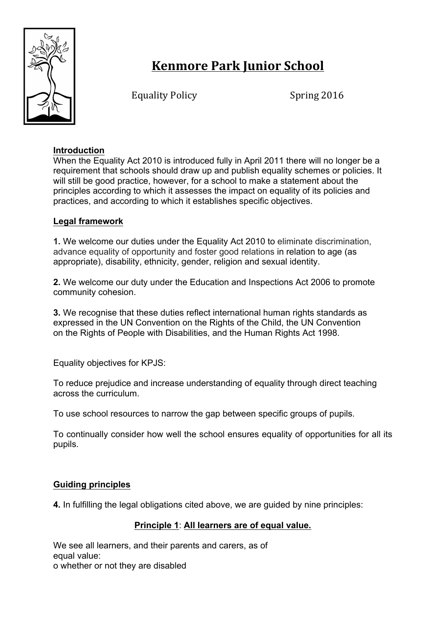

# **Kenmore Park Junior School**

Equality Policy Spring 2016

# **Introduction**

When the Equality Act 2010 is introduced fully in April 2011 there will no longer be a requirement that schools should draw up and publish equality schemes or policies. It will still be good practice, however, for a school to make a statement about the principles according to which it assesses the impact on equality of its policies and practices, and according to which it establishes specific objectives.

# **Legal framework**

**1.** We welcome our duties under the Equality Act 2010 to eliminate discrimination, advance equality of opportunity and foster good relations in relation to age (as appropriate), disability, ethnicity, gender, religion and sexual identity.

**2.** We welcome our duty under the Education and Inspections Act 2006 to promote community cohesion.

**3.** We recognise that these duties reflect international human rights standards as expressed in the UN Convention on the Rights of the Child, the UN Convention on the Rights of People with Disabilities, and the Human Rights Act 1998.

Equality objectives for KPJS:

To reduce prejudice and increase understanding of equality through direct teaching across the curriculum.

To use school resources to narrow the gap between specific groups of pupils.

To continually consider how well the school ensures equality of opportunities for all its pupils.

# **Guiding principles**

**4.** In fulfilling the legal obligations cited above, we are guided by nine principles:

# **Principle 1**: **All learners are of equal value.**

We see all learners, and their parents and carers, as of equal value: o whether or not they are disabled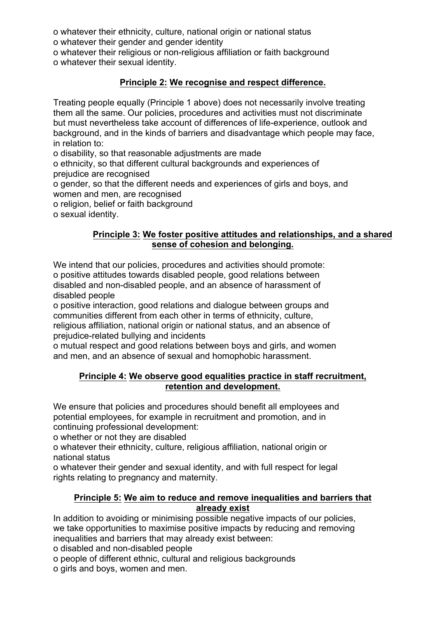o whatever their ethnicity, culture, national origin or national status o whatever their gender and gender identity

o whatever their religious or non-religious affiliation or faith background o whatever their sexual identity.

# **Principle 2: We recognise and respect difference.**

Treating people equally (Principle 1 above) does not necessarily involve treating them all the same. Our policies, procedures and activities must not discriminate but must nevertheless take account of differences of life-experience, outlook and background, and in the kinds of barriers and disadvantage which people may face, in relation to:

o disability, so that reasonable adjustments are made

o ethnicity, so that different cultural backgrounds and experiences of prejudice are recognised

o gender, so that the different needs and experiences of girls and boys, and women and men, are recognised

o religion, belief or faith background

o sexual identity.

#### **Principle 3: We foster positive attitudes and relationships, and a shared sense of cohesion and belonging.**

We intend that our policies, procedures and activities should promote: o positive attitudes towards disabled people, good relations between disabled and non-disabled people, and an absence of harassment of disabled people

o positive interaction, good relations and dialogue between groups and communities different from each other in terms of ethnicity, culture, religious affiliation, national origin or national status, and an absence of prejudice-related bullying and incidents

o mutual respect and good relations between boys and girls, and women and men, and an absence of sexual and homophobic harassment.

#### **Principle 4: We observe good equalities practice in staff recruitment, retention and development.**

We ensure that policies and procedures should benefit all employees and potential employees, for example in recruitment and promotion, and in continuing professional development:

o whether or not they are disabled

o whatever their ethnicity, culture, religious affiliation, national origin or national status

o whatever their gender and sexual identity, and with full respect for legal rights relating to pregnancy and maternity.

#### **Principle 5: We aim to reduce and remove inequalities and barriers that already exist**

In addition to avoiding or minimising possible negative impacts of our policies, we take opportunities to maximise positive impacts by reducing and removing inequalities and barriers that may already exist between:

o disabled and non-disabled people

o people of different ethnic, cultural and religious backgrounds

o girls and boys, women and men.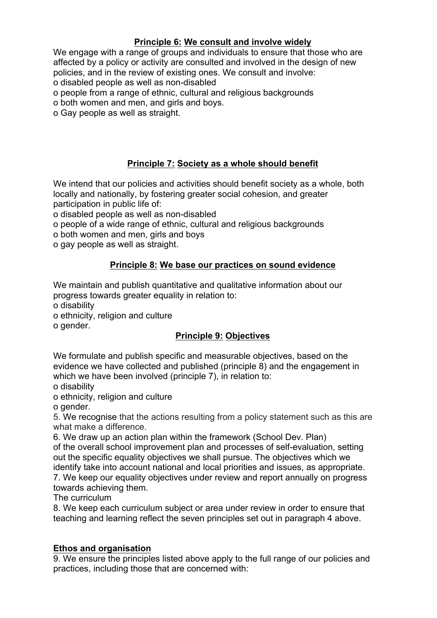# **Principle 6: We consult and involve widely**

We engage with a range of groups and individuals to ensure that those who are affected by a policy or activity are consulted and involved in the design of new policies, and in the review of existing ones. We consult and involve: o disabled people as well as non-disabled

o people from a range of ethnic, cultural and religious backgrounds

o both women and men, and girls and boys.

o Gay people as well as straight.

# **Principle 7: Society as a whole should benefit**

We intend that our policies and activities should benefit society as a whole, both locally and nationally, by fostering greater social cohesion, and greater participation in public life of:

o disabled people as well as non-disabled

o people of a wide range of ethnic, cultural and religious backgrounds

o both women and men, girls and boys

o gay people as well as straight.

#### **Principle 8: We base our practices on sound evidence**

We maintain and publish quantitative and qualitative information about our progress towards greater equality in relation to:

o disability

o ethnicity, religion and culture

o gender.

# **Principle 9: Objectives**

We formulate and publish specific and measurable objectives, based on the evidence we have collected and published (principle 8) and the engagement in which we have been involved (principle 7), in relation to:

o disability o ethnicity, religion and culture

o gender.

5. We recognise that the actions resulting from a policy statement such as this are what make a difference.

6. We draw up an action plan within the framework (School Dev. Plan) of the overall school improvement plan and processes of self-evaluation, setting out the specific equality objectives we shall pursue. The objectives which we identify take into account national and local priorities and issues, as appropriate. 7. We keep our equality objectives under review and report annually on progress

towards achieving them.

The curriculum

8. We keep each curriculum subject or area under review in order to ensure that teaching and learning reflect the seven principles set out in paragraph 4 above.

# **Ethos and organisation**

9. We ensure the principles listed above apply to the full range of our policies and practices, including those that are concerned with: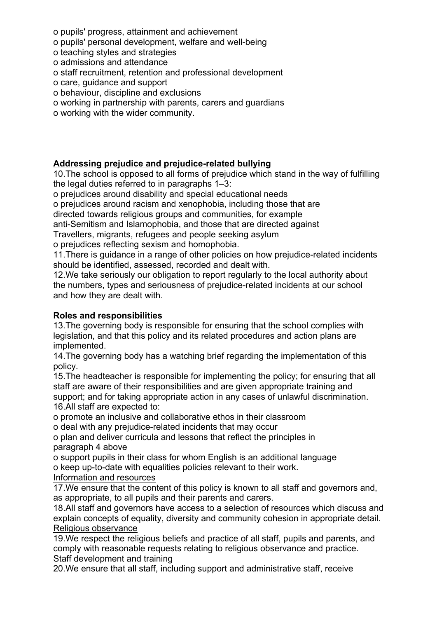- o pupils' progress, attainment and achievement
- o pupils' personal development, welfare and well-being
- o teaching styles and strategies
- o admissions and attendance
- o staff recruitment, retention and professional development
- o care, guidance and support
- o behaviour, discipline and exclusions
- o working in partnership with parents, carers and guardians
- o working with the wider community.

# **Addressing prejudice and prejudice-related bullying**

10.The school is opposed to all forms of prejudice which stand in the way of fulfilling the legal duties referred to in paragraphs 1–3:

o prejudices around disability and special educational needs

o prejudices around racism and xenophobia, including those that are

directed towards religious groups and communities, for example

anti-Semitism and Islamophobia, and those that are directed against

Travellers, migrants, refugees and people seeking asylum

o prejudices reflecting sexism and homophobia.

11.There is guidance in a range of other policies on how prejudice-related incidents should be identified, assessed, recorded and dealt with.

12.We take seriously our obligation to report regularly to the local authority about the numbers, types and seriousness of prejudice-related incidents at our school and how they are dealt with.

# **Roles and responsibilities**

13.The governing body is responsible for ensuring that the school complies with legislation, and that this policy and its related procedures and action plans are implemented.

14.The governing body has a watching brief regarding the implementation of this policy.

15.The headteacher is responsible for implementing the policy; for ensuring that all staff are aware of their responsibilities and are given appropriate training and support; and for taking appropriate action in any cases of unlawful discrimination. 16.All staff are expected to:

o promote an inclusive and collaborative ethos in their classroom

o deal with any prejudice-related incidents that may occur

o plan and deliver curricula and lessons that reflect the principles in paragraph 4 above

o support pupils in their class for whom English is an additional language o keep up-to-date with equalities policies relevant to their work.

Information and resources

17.We ensure that the content of this policy is known to all staff and governors and, as appropriate, to all pupils and their parents and carers.

18.All staff and governors have access to a selection of resources which discuss and explain concepts of equality, diversity and community cohesion in appropriate detail. Religious observance

19.We respect the religious beliefs and practice of all staff, pupils and parents, and comply with reasonable requests relating to religious observance and practice. Staff development and training

20.We ensure that all staff, including support and administrative staff, receive